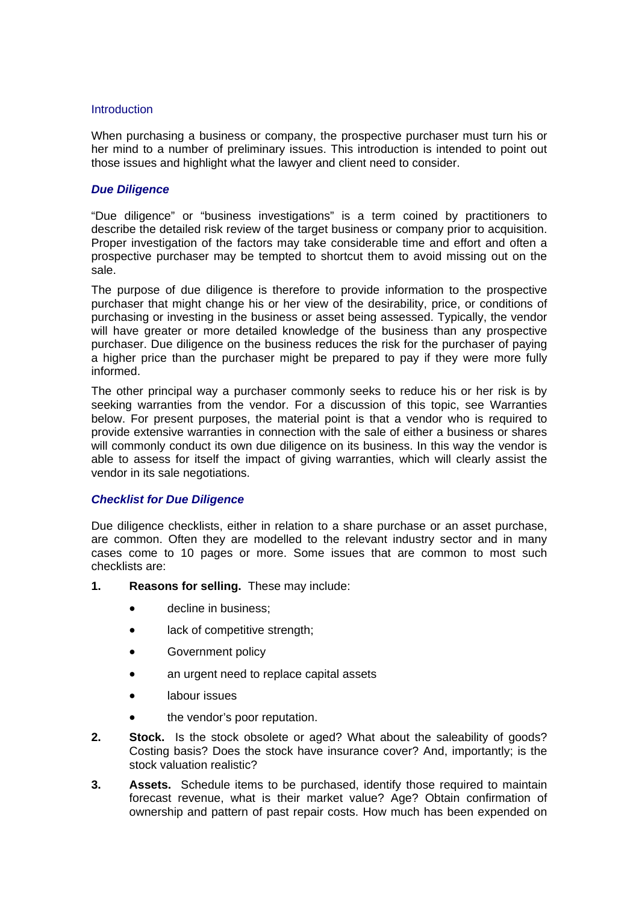#### **Introduction**

When purchasing a business or company, the prospective purchaser must turn his or her mind to a number of preliminary issues. This introduction is intended to point out those issues and highlight what the lawyer and client need to consider.

### *Due Diligence*

"Due diligence" or "business investigations" is a term coined by practitioners to describe the detailed risk review of the target business or company prior to acquisition. Proper investigation of the factors may take considerable time and effort and often a prospective purchaser may be tempted to shortcut them to avoid missing out on the sale.

The purpose of due diligence is therefore to provide information to the prospective purchaser that might change his or her view of the desirability, price, or conditions of purchasing or investing in the business or asset being assessed. Typically, the vendor will have greater or more detailed knowledge of the business than any prospective purchaser. Due diligence on the business reduces the risk for the purchaser of paying a higher price than the purchaser might be prepared to pay if they were more fully informed.

The other principal way a purchaser commonly seeks to reduce his or her risk is by seeking warranties from the vendor. For a discussion of this topic, see Warranties below. For present purposes, the material point is that a vendor who is required to provide extensive warranties in connection with the sale of either a business or shares will commonly conduct its own due diligence on its business. In this way the vendor is able to assess for itself the impact of giving warranties, which will clearly assist the vendor in its sale negotiations.

#### *Checklist for Due Diligence*

Due diligence checklists, either in relation to a share purchase or an asset purchase, are common. Often they are modelled to the relevant industry sector and in many cases come to 10 pages or more. Some issues that are common to most such checklists are:

- **1. Reasons for selling.** These may include:
	- decline in business:
	- lack of competitive strength;
	- Government policy
	- an urgent need to replace capital assets
	- labour issues
	- the vendor's poor reputation.
- **2. Stock.** Is the stock obsolete or aged? What about the saleability of goods? Costing basis? Does the stock have insurance cover? And, importantly; is the stock valuation realistic?
- **3. Assets.** Schedule items to be purchased, identify those required to maintain forecast revenue, what is their market value? Age? Obtain confirmation of ownership and pattern of past repair costs. How much has been expended on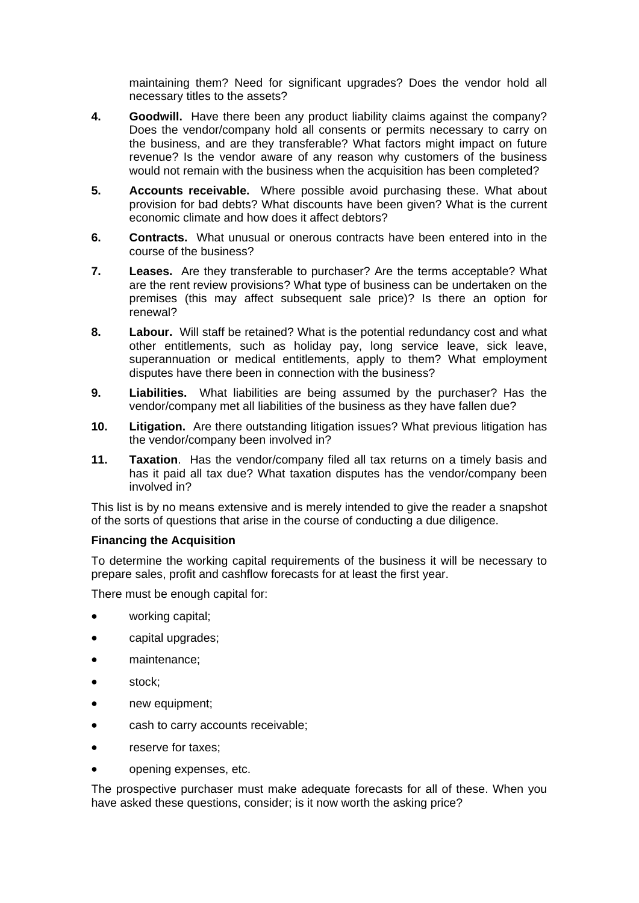maintaining them? Need for significant upgrades? Does the vendor hold all necessary titles to the assets?

- **4. Goodwill.** Have there been any product liability claims against the company? Does the vendor/company hold all consents or permits necessary to carry on the business, and are they transferable? What factors might impact on future revenue? Is the vendor aware of any reason why customers of the business would not remain with the business when the acquisition has been completed?
- **5. Accounts receivable.** Where possible avoid purchasing these. What about provision for bad debts? What discounts have been given? What is the current economic climate and how does it affect debtors?
- **6. Contracts.** What unusual or onerous contracts have been entered into in the course of the business?
- **7. Leases.** Are they transferable to purchaser? Are the terms acceptable? What are the rent review provisions? What type of business can be undertaken on the premises (this may affect subsequent sale price)? Is there an option for renewal?
- **8. Labour.** Will staff be retained? What is the potential redundancy cost and what other entitlements, such as holiday pay, long service leave, sick leave, superannuation or medical entitlements, apply to them? What employment disputes have there been in connection with the business?
- **9. Liabilities.** What liabilities are being assumed by the purchaser? Has the vendor/company met all liabilities of the business as they have fallen due?
- **10. Litigation.** Are there outstanding litigation issues? What previous litigation has the vendor/company been involved in?
- **11. Taxation**. Has the vendor/company filed all tax returns on a timely basis and has it paid all tax due? What taxation disputes has the vendor/company been involved in?

This list is by no means extensive and is merely intended to give the reader a snapshot of the sorts of questions that arise in the course of conducting a due diligence.

## **Financing the Acquisition**

To determine the working capital requirements of the business it will be necessary to prepare sales, profit and cashflow forecasts for at least the first year.

There must be enough capital for:

- working capital;
- capital upgrades;
- maintenance;
- stock;
- new equipment;
- cash to carry accounts receivable;
- reserve for taxes:
- opening expenses, etc.

The prospective purchaser must make adequate forecasts for all of these. When you have asked these questions, consider; is it now worth the asking price?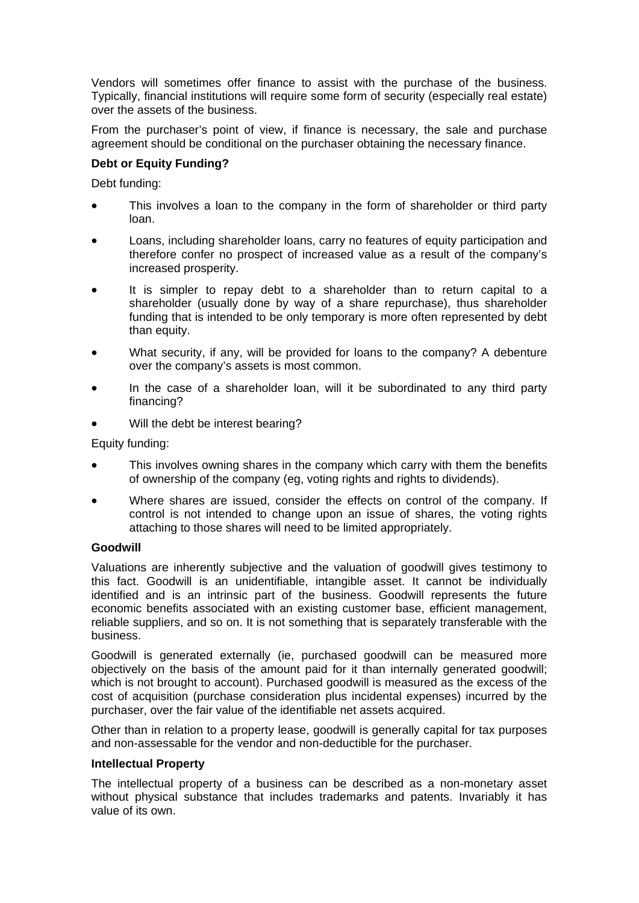Vendors will sometimes offer finance to assist with the purchase of the business. Typically, financial institutions will require some form of security (especially real estate) over the assets of the business.

From the purchaser's point of view, if finance is necessary, the sale and purchase agreement should be conditional on the purchaser obtaining the necessary finance.

## **Debt or Equity Funding?**

Debt funding:

- This involves a loan to the company in the form of shareholder or third party loan.
- Loans, including shareholder loans, carry no features of equity participation and therefore confer no prospect of increased value as a result of the company's increased prosperity.
- It is simpler to repay debt to a shareholder than to return capital to a shareholder (usually done by way of a share repurchase), thus shareholder funding that is intended to be only temporary is more often represented by debt than equity.
- What security, if any, will be provided for loans to the company? A debenture over the company's assets is most common.
- In the case of a shareholder loan, will it be subordinated to any third party financing?
- Will the debt be interest bearing?

Equity funding:

- This involves owning shares in the company which carry with them the benefits of ownership of the company (eg, voting rights and rights to dividends).
- Where shares are issued, consider the effects on control of the company. If control is not intended to change upon an issue of shares, the voting rights attaching to those shares will need to be limited appropriately.

#### **Goodwill**

Valuations are inherently subjective and the valuation of goodwill gives testimony to this fact. Goodwill is an unidentifiable, intangible asset. It cannot be individually identified and is an intrinsic part of the business. Goodwill represents the future economic benefits associated with an existing customer base, efficient management, reliable suppliers, and so on. It is not something that is separately transferable with the business.

Goodwill is generated externally (ie, purchased goodwill can be measured more objectively on the basis of the amount paid for it than internally generated goodwill; which is not brought to account). Purchased goodwill is measured as the excess of the cost of acquisition (purchase consideration plus incidental expenses) incurred by the purchaser, over the fair value of the identifiable net assets acquired.

Other than in relation to a property lease, goodwill is generally capital for tax purposes and non-assessable for the vendor and non-deductible for the purchaser.

#### **Intellectual Property**

The intellectual property of a business can be described as a non-monetary asset without physical substance that includes trademarks and patents. Invariably it has value of its own.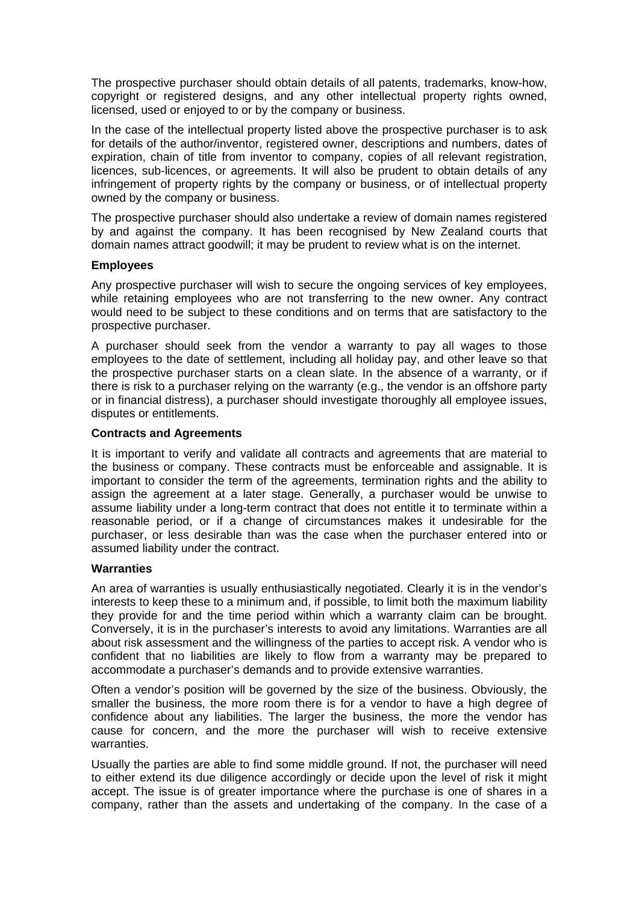The prospective purchaser should obtain details of all patents, trademarks, know-how, copyright or registered designs, and any other intellectual property rights owned, licensed, used or enjoyed to or by the company or business.

In the case of the intellectual property listed above the prospective purchaser is to ask for details of the author/inventor, registered owner, descriptions and numbers, dates of expiration, chain of title from inventor to company, copies of all relevant registration, licences, sub-licences, or agreements. It will also be prudent to obtain details of any infringement of property rights by the company or business, or of intellectual property owned by the company or business.

The prospective purchaser should also undertake a review of domain names registered by and against the company. It has been recognised by New Zealand courts that domain names attract goodwill; it may be prudent to review what is on the internet.

### **Employees**

Any prospective purchaser will wish to secure the ongoing services of key employees, while retaining employees who are not transferring to the new owner. Any contract would need to be subject to these conditions and on terms that are satisfactory to the prospective purchaser.

A purchaser should seek from the vendor a warranty to pay all wages to those employees to the date of settlement, including all holiday pay, and other leave so that the prospective purchaser starts on a clean slate. In the absence of a warranty, or if there is risk to a purchaser relying on the warranty (e.g., the vendor is an offshore party or in financial distress), a purchaser should investigate thoroughly all employee issues, disputes or entitlements.

### **Contracts and Agreements**

It is important to verify and validate all contracts and agreements that are material to the business or company. These contracts must be enforceable and assignable. It is important to consider the term of the agreements, termination rights and the ability to assign the agreement at a later stage. Generally, a purchaser would be unwise to assume liability under a long-term contract that does not entitle it to terminate within a reasonable period, or if a change of circumstances makes it undesirable for the purchaser, or less desirable than was the case when the purchaser entered into or assumed liability under the contract.

## **Warranties**

An area of warranties is usually enthusiastically negotiated. Clearly it is in the vendor's interests to keep these to a minimum and, if possible, to limit both the maximum liability they provide for and the time period within which a warranty claim can be brought. Conversely, it is in the purchaser's interests to avoid any limitations. Warranties are all about risk assessment and the willingness of the parties to accept risk. A vendor who is confident that no liabilities are likely to flow from a warranty may be prepared to accommodate a purchaser's demands and to provide extensive warranties.

Often a vendor's position will be governed by the size of the business. Obviously, the smaller the business, the more room there is for a vendor to have a high degree of confidence about any liabilities. The larger the business, the more the vendor has cause for concern, and the more the purchaser will wish to receive extensive warranties.

Usually the parties are able to find some middle ground. If not, the purchaser will need to either extend its due diligence accordingly or decide upon the level of risk it might accept. The issue is of greater importance where the purchase is one of shares in a company, rather than the assets and undertaking of the company. In the case of a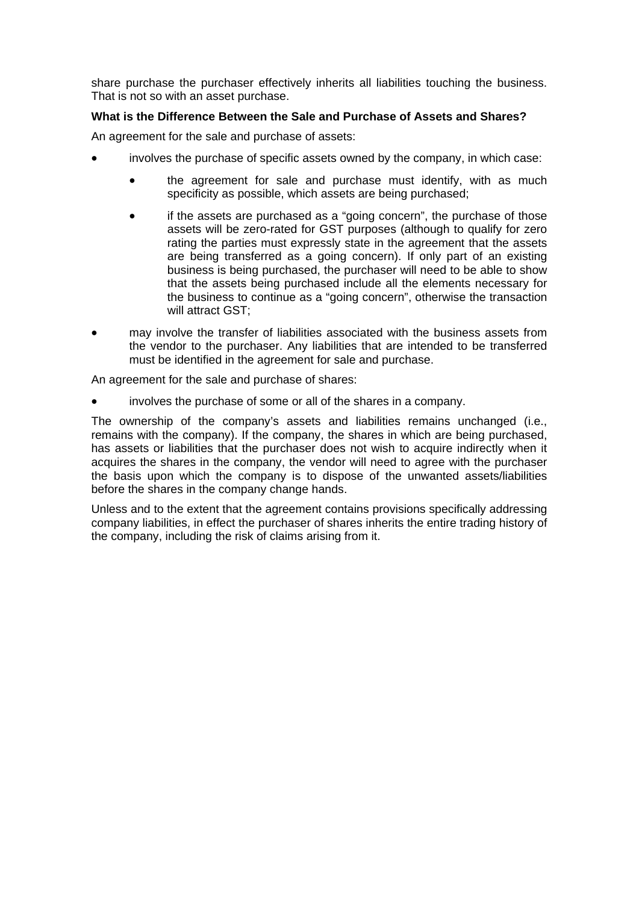share purchase the purchaser effectively inherits all liabilities touching the business. That is not so with an asset purchase.

# **What is the Difference Between the Sale and Purchase of Assets and Shares?**

An agreement for the sale and purchase of assets:

- involves the purchase of specific assets owned by the company, in which case:
	- the agreement for sale and purchase must identify, with as much specificity as possible, which assets are being purchased;
	- if the assets are purchased as a "going concern", the purchase of those assets will be zero-rated for GST purposes (although to qualify for zero rating the parties must expressly state in the agreement that the assets are being transferred as a going concern). If only part of an existing business is being purchased, the purchaser will need to be able to show that the assets being purchased include all the elements necessary for the business to continue as a "going concern", otherwise the transaction will attract GST;
- may involve the transfer of liabilities associated with the business assets from the vendor to the purchaser. Any liabilities that are intended to be transferred must be identified in the agreement for sale and purchase.

An agreement for the sale and purchase of shares:

• involves the purchase of some or all of the shares in a company.

The ownership of the company's assets and liabilities remains unchanged (i.e., remains with the company). If the company, the shares in which are being purchased, has assets or liabilities that the purchaser does not wish to acquire indirectly when it acquires the shares in the company, the vendor will need to agree with the purchaser the basis upon which the company is to dispose of the unwanted assets/liabilities before the shares in the company change hands.

Unless and to the extent that the agreement contains provisions specifically addressing company liabilities, in effect the purchaser of shares inherits the entire trading history of the company, including the risk of claims arising from it.